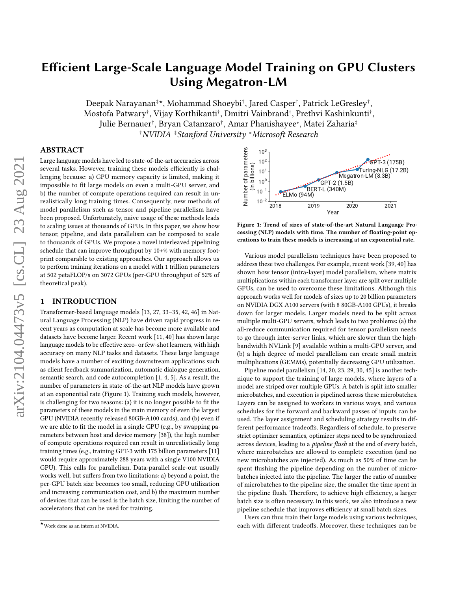Deepak Narayanan‡★, Mohammad Shoeybi† , Jared Casper† , Patrick LeGresley† , Mostofa Patwary† , Vijay Korthikanti† , Dmitri Vainbrand† , Prethvi Kashinkunti† , Julie Bernauer† , Bryan Catanzaro† , Amar Phanishayee<sup>∗</sup> , Matei Zaharia‡ †NVIDIA ‡Stanford University <sup>∗</sup>Microsoft Research

# ABSTRACT

Large language models have led to state-of-the-art accuracies across several tasks. However, training these models efficiently is challenging because: a) GPU memory capacity is limited, making it impossible to fit large models on even a multi-GPU server, and b) the number of compute operations required can result in unrealistically long training times. Consequently, new methods of model parallelism such as tensor and pipeline parallelism have been proposed. Unfortunately, naive usage of these methods leads to scaling issues at thousands of GPUs. In this paper, we show how tensor, pipeline, and data parallelism can be composed to scale to thousands of GPUs. We propose a novel interleaved pipelining schedule that can improve throughput by 10+% with memory footprint comparable to existing approaches. Our approach allows us to perform training iterations on a model with 1 trillion parameters at 502 petaFLOP/s on 3072 GPUs (per-GPU throughput of 52% of theoretical peak).

# 1 INTRODUCTION

Transformer-based language models [\[13,](#page-12-0) [27,](#page-12-1) [33–](#page-12-2)[35,](#page-12-3) [42,](#page-12-4) [46\]](#page-12-5) in Natural Language Processing (NLP) have driven rapid progress in recent years as computation at scale has become more available and datasets have become larger. Recent work [\[11,](#page-12-6) [40\]](#page-12-7) has shown large language models to be effective zero- or few-shot learners, with high accuracy on many NLP tasks and datasets. These large language models have a number of exciting downstream applications such as client feedback summarization, automatic dialogue generation, semantic search, and code autocompletion [\[1,](#page-12-8) [4,](#page-12-9) [5\]](#page-12-10). As a result, the number of parameters in state-of-the-art NLP models have grown at an exponential rate (Figure [1\)](#page-0-0). Training such models, however, is challenging for two reasons: (a) it is no longer possible to fit the parameters of these models in the main memory of even the largest GPU (NVIDIA recently released 80GB-A100 cards), and (b) even if we are able to fit the model in a single GPU (e.g., by swapping parameters between host and device memory [\[38\]](#page-12-11)), the high number of compute operations required can result in unrealistically long training times (e.g., training GPT-3 with 175 billion parameters [\[11\]](#page-12-6) would require approximately 288 years with a single V100 NVIDIA GPU). This calls for parallelism. Data-parallel scale-out usually works well, but suffers from two limitations: a) beyond a point, the per-GPU batch size becomes too small, reducing GPU utilization and increasing communication cost, and b) the maximum number of devices that can be used is the batch size, limiting the number of accelerators that can be used for training.

<span id="page-0-0"></span>

Figure 1: Trend of sizes of state-of-the-art Natural Language Processing (NLP) models with time. The number of floating-point operations to train these models is increasing at an exponential rate.

Various model parallelism techniques have been proposed to address these two challenges. For example, recent work [\[39,](#page-12-12) [40\]](#page-12-7) has shown how tensor (intra-layer) model parallelism, where matrix multiplications within each transformer layer are split over multiple GPUs, can be used to overcome these limitations. Although this approach works well for models of sizes up to 20 billion parameters on NVIDIA DGX A100 servers (with 8 80GB-A100 GPUs), it breaks down for larger models. Larger models need to be split across multiple multi-GPU servers, which leads to two problems: (a) the all-reduce communication required for tensor parallelism needs to go through inter-server links, which are slower than the highbandwidth NVLink [\[9\]](#page-12-13) available within a multi-GPU server, and (b) a high degree of model parallelism can create small matrix multiplications (GEMMs), potentially decreasing GPU utilization.

Pipeline model parallelism [\[14,](#page-12-14) [20,](#page-12-15) [23,](#page-12-16) [29,](#page-12-17) [30,](#page-12-18) [45\]](#page-12-19) is another technique to support the training of large models, where layers of a model are striped over multiple GPUs. A batch is split into smaller microbatches, and execution is pipelined across these microbatches. Layers can be assigned to workers in various ways, and various schedules for the forward and backward passes of inputs can be used. The layer assignment and scheduling strategy results in different performance tradeoffs. Regardless of schedule, to preserve strict optimizer semantics, optimizer steps need to be synchronized across devices, leading to a *pipeline flush* at the end of every batch, where microbatches are allowed to complete execution (and no new microbatches are injected). As much as 50% of time can be spent flushing the pipeline depending on the number of microbatches injected into the pipeline. The larger the ratio of number of microbatches to the pipeline size, the smaller the time spent in the pipeline flush. Therefore, to achieve high efficiency, a larger batch size is often necessary. In this work, we also introduce a new pipeline schedule that improves efficiency at small batch sizes.

Users can thus train their large models using various techniques, each with different tradeoffs. Moreover, these techniques can be

 $\star$ Work done as an intern at NVIDIA.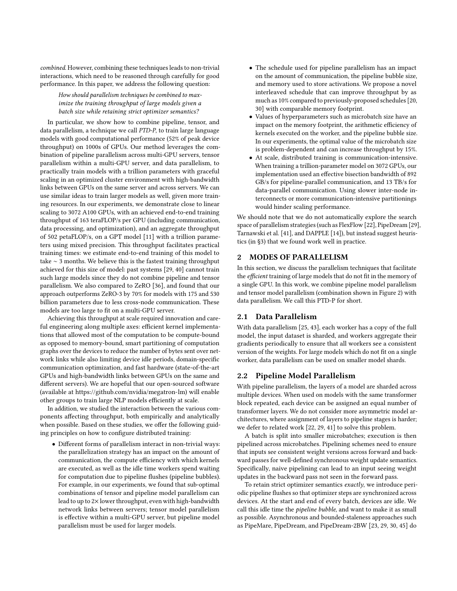combined. However, combining these techniques leads to non-trivial interactions, which need to be reasoned through carefully for good performance. In this paper, we address the following question:

How should parallelism techniques be combined to maximize the training throughput of large models given a batch size while retaining strict optimizer semantics?

In particular, we show how to combine pipeline, tensor, and data parallelism, a technique we call PTD-P, to train large language models with good computational performance (52% of peak device throughput) on 1000s of GPUs. Our method leverages the combination of pipeline parallelism across multi-GPU servers, tensor parallelism within a multi-GPU server, and data parallelism, to practically train models with a trillion parameters with graceful scaling in an optimized cluster environment with high-bandwidth links between GPUs on the same server and across servers. We can use similar ideas to train larger models as well, given more training resources. In our experiments, we demonstrate close to linear scaling to 3072 A100 GPUs, with an achieved end-to-end training throughput of 163 teraFLOP/s per GPU (including communication, data processing, and optimization), and an aggregate throughput of 502 petaFLOP/s, on a GPT model [\[11\]](#page-12-6) with a trillion parameters using mixed precision. This throughput facilitates practical training times: we estimate end-to-end training of this model to take ∼ 3 months. We believe this is the fastest training throughput achieved for this size of model: past systems [\[29,](#page-12-17) [40\]](#page-12-7) cannot train such large models since they do not combine pipeline and tensor parallelism. We also compared to ZeRO [\[36\]](#page-12-20), and found that our approach outperforms ZeRO-3 by 70% for models with 175 and 530 billion parameters due to less cross-node communication. These models are too large to fit on a multi-GPU server.

Achieving this throughput at scale required innovation and careful engineering along multiple axes: efficient kernel implementations that allowed most of the computation to be compute-bound as opposed to memory-bound, smart partitioning of computation graphs over the devices to reduce the number of bytes sent over network links while also limiting device idle periods, domain-specific communication optimization, and fast hardware (state-of-the-art GPUs and high-bandwidth links between GPUs on the same and different servers). We are hopeful that our open-sourced software (available at [https://github.com/nvidia/megatron-lm\)](https://github.com/nvidia/megatron-lm) will enable other groups to train large NLP models efficiently at scale.

In addition, we studied the interaction between the various components affecting throughput, both empirically and analytically when possible. Based on these studies, we offer the following guiding principles on how to configure distributed training:

• Different forms of parallelism interact in non-trivial ways: the parallelization strategy has an impact on the amount of communication, the compute efficiency with which kernels are executed, as well as the idle time workers spend waiting for computation due to pipeline flushes (pipeline bubbles). For example, in our experiments, we found that sub-optimal combinations of tensor and pipeline model parallelism can lead to up to 2× lower throughput, even with high-bandwidth network links between servers; tensor model parallelism is effective within a multi-GPU server, but pipeline model parallelism must be used for larger models.

- The schedule used for pipeline parallelism has an impact on the amount of communication, the pipeline bubble size, and memory used to store activations. We propose a novel interleaved schedule that can improve throughput by as much as 10% compared to previously-proposed schedules [\[20,](#page-12-15) [30\]](#page-12-18) with comparable memory footprint.
- Values of hyperparameters such as microbatch size have an impact on the memory footprint, the arithmetic efficiency of kernels executed on the worker, and the pipeline bubble size. In our experiments, the optimal value of the microbatch size is problem-dependent and can increase throughput by 15%.
- At scale, distributed training is communication-intensive. When training a trillion-parameter model on 3072 GPUs, our implementation used an effective bisection bandwidth of 892 GB/s for pipeline-parallel communication, and 13 TB/s for data-parallel communication. Using slower inter-node interconnects or more communication-intensive partitionings would hinder scaling performance.

We should note that we do not automatically explore the search space of parallelism strategies (such as FlexFlow [\[22\]](#page-12-21), PipeDream [\[29\]](#page-12-17), Tarnawski et al. [\[41\]](#page-12-22), and DAPPLE [\[14\]](#page-12-14)), but instead suggest heuristics (in [§3\)](#page-3-0) that we found work well in practice.

# 2 MODES OF PARALLELISM

In this section, we discuss the parallelism techniques that facilitate the efficient training of large models that do not fit in the memory of a single GPU. In this work, we combine pipeline model parallelism and tensor model parallelism (combination shown in Figure [2\)](#page-2-0) with data parallelism. We call this PTD-P for short.

## 2.1 Data Parallelism

With data parallelism [\[25,](#page-12-23) [43\]](#page-12-24), each worker has a copy of the full model, the input dataset is sharded, and workers aggregate their gradients periodically to ensure that all workers see a consistent version of the weights. For large models which do not fit on a single worker, data parallelism can be used on smaller model shards.

# 2.2 Pipeline Model Parallelism

With pipeline parallelism, the layers of a model are sharded across multiple devices. When used on models with the same transformer block repeated, each device can be assigned an equal number of transformer layers. We do not consider more asymmetric model architectures, where assignment of layers to pipeline stages is harder; we defer to related work [\[22,](#page-12-21) [29,](#page-12-17) [41\]](#page-12-22) to solve this problem.

A batch is split into smaller microbatches; execution is then pipelined across microbatches. Pipelining schemes need to ensure that inputs see consistent weight versions across forward and backward passes for well-defined synchronous weight update semantics. Specifically, naive pipelining can lead to an input seeing weight updates in the backward pass not seen in the forward pass.

To retain strict optimizer semantics exactly, we introduce periodic pipeline flushes so that optimizer steps are synchronized across devices. At the start and end of every batch, devices are idle. We call this idle time the pipeline bubble, and want to make it as small as possible. Asynchronous and bounded-staleness approaches such as PipeMare, PipeDream, and PipeDream-2BW [\[23,](#page-12-16) [29,](#page-12-17) [30,](#page-12-18) [45\]](#page-12-19) do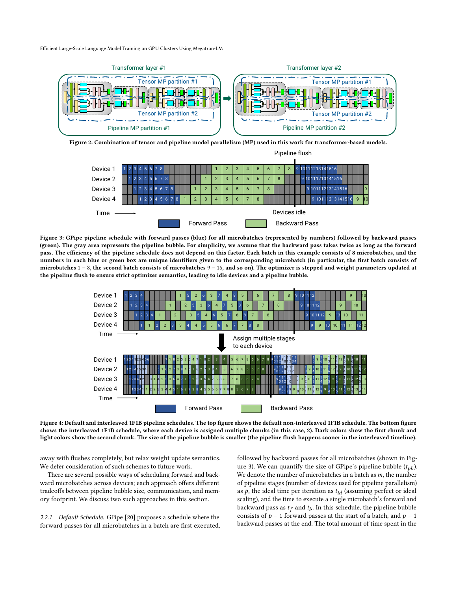<span id="page-2-0"></span>

<span id="page-2-1"></span>Figure 2: Combination of tensor and pipeline model parallelism (MP) used in this work for transformer-based models.



Figure 3: GPipe pipeline schedule with forward passes (blue) for all microbatches (represented by numbers) followed by backward passes (green). The gray area represents the pipeline bubble. For simplicity, we assume that the backward pass takes twice as long as the forward pass. The efficiency of the pipeline schedule does not depend on this factor. Each batch in this example consists of 8 microbatches, and the numbers in each blue or green box are unique identifiers given to the corresponding microbatch (in particular, the first batch consists of microbatches 1 − 8, the second batch consists of microbatches 9 − 16, and so on). The optimizer is stepped and weight parameters updated at the pipeline flush to ensure strict optimizer semantics, leading to idle devices and a pipeline bubble.

<span id="page-2-2"></span>

Figure 4: Default and interleaved 1F1B pipeline schedules. The top figure shows the default non-interleaved 1F1B schedule. The bottom figure shows the interleaved 1F1B schedule, where each device is assigned multiple chunks (in this case, 2). Dark colors show the first chunk and light colors show the second chunk. The size of the pipeline bubble is smaller (the pipeline flush happens sooner in the interleaved timeline).

away with flushes completely, but relax weight update semantics. We defer consideration of such schemes to future work.

There are several possible ways of scheduling forward and backward microbatches across devices; each approach offers different tradeoffs between pipeline bubble size, communication, and memory footprint. We discuss two such approaches in this section.

<span id="page-2-3"></span>2.2.1 Default Schedule. GPipe [\[20\]](#page-12-15) proposes a schedule where the forward passes for all microbatches in a batch are first executed, followed by backward passes for all microbatches (shown in Fig-ure [3\)](#page-2-1). We can quantify the size of GPipe's pipeline bubble  $(t_{nb})$ . We denote the number of microbatches in a batch as  $m$ , the number of pipeline stages (number of devices used for pipeline parallelism) as  $p$ , the ideal time per iteration as  $t_{id}$  (assuming perfect or ideal scaling), and the time to execute a single microbatch's forward and backward pass as  $t_f$  and  $t_b$ . In this schedule, the pipeline bubble consists of  $p - 1$  forward passes at the start of a batch, and  $p - 1$ backward passes at the end. The total amount of time spent in the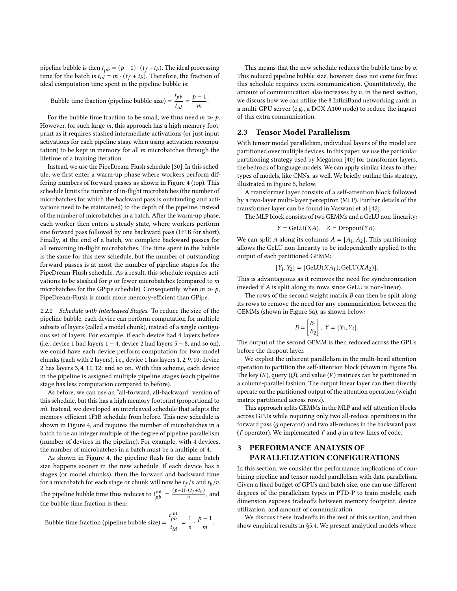pipeline bubble is then  $t_{pb} = (p-1) \cdot (t_f + t_b)$ . The ideal processing time for the batch is  $t_{id} = m \cdot (t_f + t_b)$ . Therefore, the fraction of ideal computation time spent in the pipeline bubble is:

Bubble time fraction (pipeline bubble size) =  $\frac{t_{p}}{l}$  $\frac{t_{pb}}{t_{id}} = \frac{p-1}{m}$  $\frac{-1}{m}$ .

For the bubble time fraction to be small, we thus need  $m \gg p$ . However, for such large  $m$ , this approach has a high memory footprint as it requires stashed intermediate activations (or just input activations for each pipeline stage when using activation recomputation) to be kept in memory for all  $m$  microbatches through the lifetime of a training iteration.

Instead, we use the PipeDream-Flush schedule [\[30\]](#page-12-18). In this schedule, we first enter a warm-up phase where workers perform differing numbers of forward passes as shown in Figure [4](#page-2-2) (top). This schedule limits the number of in-flight microbatches (the number of microbatches for which the backward pass is outstanding and activations need to be maintained) to the depth of the pipeline, instead of the number of microbatches in a batch. After the warm-up phase, each worker then enters a steady state, where workers perform one forward pass followed by one backward pass (1F1B for short). Finally, at the end of a batch, we complete backward passes for all remaining in-flight microbatches. The time spent in the bubble is the same for this new schedule, but the number of outstanding forward passes is at most the number of pipeline stages for the PipeDream-Flush schedule. As a result, this schedule requires activations to be stashed for  $p$  or fewer microbatches (compared to  $m$ microbatches for the GPipe schedule). Consequently, when  $m \gg p$ , PipeDream-Flush is much more memory-efficient than GPipe.

2.2.2 Schedule with Interleaved Stages. To reduce the size of the pipeline bubble, each device can perform computation for multiple subsets of layers (called a model chunk), instead of a single contiguous set of layers. For example, if each device had 4 layers before (i.e., device 1 had layers 1 − 4, device 2 had layers 5 − 8, and so on), we could have each device perform computation for two model chunks (each with 2 layers), i.e., device 1 has layers 1, 2, 9, 10; device 2 has layers 3, 4, 11, 12; and so on. With this scheme, each device in the pipeline is assigned multiple pipeline stages (each pipeline stage has less computation compared to before).

As before, we can use an "all-forward, all-backward" version of this schedule, but this has a high memory footprint (proportional to ). Instead, we developed an interleaved schedule that adapts the memory-efficient 1F1B schedule from before. This new schedule is shown in Figure [4,](#page-2-2) and requires the number of microbatches in a batch to be an integer multiple of the degree of pipeline parallelism (number of devices in the pipeline). For example, with 4 devices, the number of microbatches in a batch must be a multiple of 4.

As shown in Figure [4,](#page-2-2) the pipeline flush for the same batch size happens sooner in the new schedule. If each device has  $v$ stages (or model chunks), then the forward and backward time for a microbatch for each stage or chunk will now be  $t_f/v$  and  $t_b/v$ . The pipeline bubble time thus reduces to  $t_{pb}^{\text{int.}} = \frac{(p-1) \cdot (t_f + t_b)}{v}$ , and the bubble time fraction is then:

Bubble time fraction (pipeline bubble size) =  $t_{bb}$  $\frac{pb}{t_{id}} = \frac{1}{v}$  $\frac{1}{v} \cdot \frac{p-1}{m}$  $\frac{-1}{m}$ .

This means that the new schedule reduces the bubble time by  $v$ . This reduced pipeline bubble size, however, does not come for free: this schedule requires extra communication. Quantitatively, the amount of communication also increases by  $v$ . In the next section, we discuss how we can utilize the 8 InfiniBand networking cards in a multi-GPU server (e.g., a DGX A100 node) to reduce the impact of this extra communication.

# <span id="page-3-1"></span>2.3 Tensor Model Parallelism

With tensor model parallelism, individual layers of the model are partitioned over multiple devices. In this paper, we use the particular partitioning strategy used by Megatron [\[40\]](#page-12-7) for transformer layers, the bedrock of language models. We can apply similar ideas to other types of models, like CNNs, as well. We briefly outline this strategy, illustrated in Figure [5,](#page-4-0) below.

A transformer layer consists of a self-attention block followed by a two-layer multi-layer perceptron (MLP). Further details of the transformer layer can be found in Vaswani et al [\[42\]](#page-12-4).

The MLP block consists of two GEMMs and a GeLU non-linearity:

 $Y = \text{GeLU}(XA)$ .  $Z = \text{Dropout}(YB)$ .

We can split A along its columns  $A = [A_1, A_2]$ . This partitioning allows the GeLU non-linearity to be independently applied to the output of each partitioned GEMM:

$$
[Y_1, Y_2] = [GeLU(XA_1), GeLU(XA_2)].
$$

This is advantageous as it removes the need for synchronization (needed if  $A$  is split along its rows since GeLU is non-linear).

The rows of the second weight matrix  $B$  can then be split along its rows to remove the need for any communication between the GEMMs (shown in Figure [5a\)](#page-4-0), as shown below:

$$
B = \begin{bmatrix} B_1 \\ B_2 \end{bmatrix}, \ Y = \begin{bmatrix} Y_1, Y_2 \end{bmatrix}.
$$

The output of the second GEMM is then reduced across the GPUs before the dropout layer.

We exploit the inherent parallelism in the multi-head attention operation to partition the self-attention block (shown in Figure [5b\)](#page-4-0). The key  $(K)$ , query  $(Q)$ , and value  $(V)$  matrices can be partitioned in a column-parallel fashion. The output linear layer can then directly operate on the partitioned output of the attention operation (weight matrix partitioned across rows).

This approach splits GEMMs in the MLP and self-attention blocks across GPUs while requiring only two all-reduce operations in the forward pass  $(g$  operator) and two all-reduces in the backward pass ( $f$  operator). We implemented  $f$  and  $q$  in a few lines of code.

# <span id="page-3-0"></span>3 PERFORMANCE ANALYSIS OF PARALLELIZATION CONFIGURATIONS

In this section, we consider the performance implications of combining pipeline and tensor model parallelism with data parallelism. Given a fixed budget of GPUs and batch size, one can use different degrees of the parallelism types in PTD-P to train models; each dimension exposes tradeoffs between memory footprint, device utilization, and amount of communication.

We discuss these tradeoffs in the rest of this section, and then show empirical results in [§5.4.](#page-8-0) We present analytical models where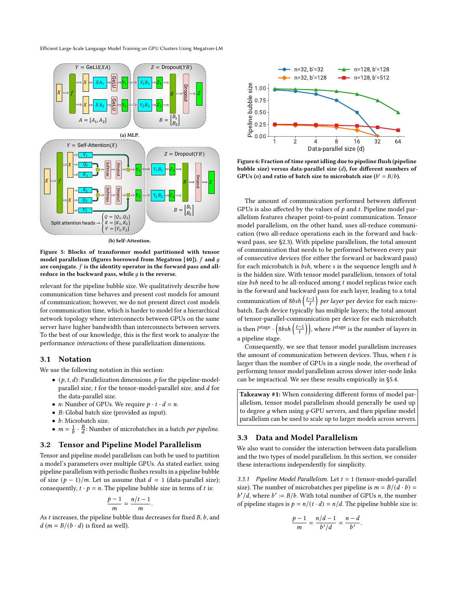<span id="page-4-0"></span>

Figure 5: Blocks of transformer model partitioned with tensor model parallelism (figures borrowed from Megatron [\[40\]](#page-12-7)).  $f$  and  $g$ are conjugate.  $f$  is the identity operator in the forward pass and allreduce in the backward pass, while  $q$  is the reverse.

relevant for the pipeline bubble size. We qualitatively describe how communication time behaves and present cost models for amount of communication; however, we do not present direct cost models for communication time, which is harder to model for a hierarchical network topology where interconnects between GPUs on the same server have higher bandwidth than interconnects between servers. To the best of our knowledge, this is the first work to analyze the performance interactions of these parallelization dimensions.

## 3.1 Notation

We use the following notation in this section:

- $(p, t, d)$ : Parallelization dimensions. p for the pipeline-modelparallel size,  $t$  for the tensor-model-parallel size, and  $d$  for the data-parallel size.
- *n*: Number of GPUs. We require  $p \cdot t \cdot d = n$ .
- $\bullet$  B: Global batch size (provided as input).
- $\bullet$  b: Microbatch size.
- $m = \frac{1}{b} \cdot \frac{B}{d}$ : Number of microbatches in a batch *per pipeline*.

#### 3.2 Tensor and Pipeline Model Parallelism

Tensor and pipeline model parallelism can both be used to partition a model's parameters over multiple GPUs. As stated earlier, using pipeline parallelism with periodic flushes results in a pipeline bubble of size  $(p - 1)/m$ . Let us assume that  $d = 1$  (data-parallel size); consequently,  $t \cdot p = n$ . The pipeline bubble size in terms of t is:

$$
\frac{p-1}{m} = \frac{n/t-1}{m}
$$

.

As  $t$  increases, the pipeline bubble thus decreases for fixed  $B$ ,  $b$ , and  $d$  ( $m = B/(b \cdot d)$  is fixed as well).

<span id="page-4-1"></span>

Figure 6: Fraction of time spent idling due to pipeline flush (pipeline bubble size) versus data-parallel size  $(d)$ , for different numbers of GPUs (*n*) and ratio of batch size to microbatch size ( $b' = B/b$ ).

The amount of communication performed between different GPUs is also affected by the values of  $p$  and  $t$ . Pipeline model parallelism features cheaper point-to-point communication. Tensor model parallelism, on the other hand, uses all-reduce communication (two all-reduce operations each in the forward and backward pass, see [§2.3\)](#page-3-1). With pipeline parallelism, the total amount of communication that needs to be performed between every pair of consecutive devices (for either the forward or backward pass) for each microbatch is  $bsh$ , where  $s$  is the sequence length and  $h$ is the hidden size. With tensor model parallelism, tensors of total size  $bsh$  need to be all-reduced among  $t$  model replicas twice each in the forward and backward pass for each layer, leading to a total communication of 8bsh  $\left(\frac{t-1}{t}\right)$  per layer per device for each microbatch. Each device typically has multiple layers; the total amount of tensor-parallel-communication per device for each microbatch is then  $l^{\text{stage}}\cdot\left(8bsh\left(\frac{t-1}{t}\right)\right)$ , where  $l^{\text{stage}}$  is the number of layers in a pipeline stage.

Consequently, we see that tensor model parallelism increases the amount of communication between devices. Thus, when  $t$  is larger than the number of GPUs in a single node, the overhead of performing tensor model parallelism across slower inter-node links can be impractical. We see these results empirically in [§5.4.](#page-8-0)

Takeaway #1: When considering different forms of model parallelism, tensor model parallelism should generally be used up to degree  $q$  when using  $q$ -GPU servers, and then pipeline model parallelism can be used to scale up to larger models across servers.

## <span id="page-4-2"></span>3.3 Data and Model Parallelism

We also want to consider the interaction between data parallelism and the two types of model parallelism. In this section, we consider these interactions independently for simplicity.

3.3.1 Pipeline Model Parallelism. Let  $t = 1$  (tensor-model-parallel size). The number of microbatches per pipeline is  $m = B/(d \cdot b)$  =  $b'/d$ , where  $b' := B/b$ . With total number of GPUs *n*, the number of pipeline stages is  $p = n/(t \cdot d) = n/d$ . The pipeline bubble size is:

$$
\frac{p-1}{m}=\frac{n/d-1}{b'/d}=\frac{n-d}{b'}.
$$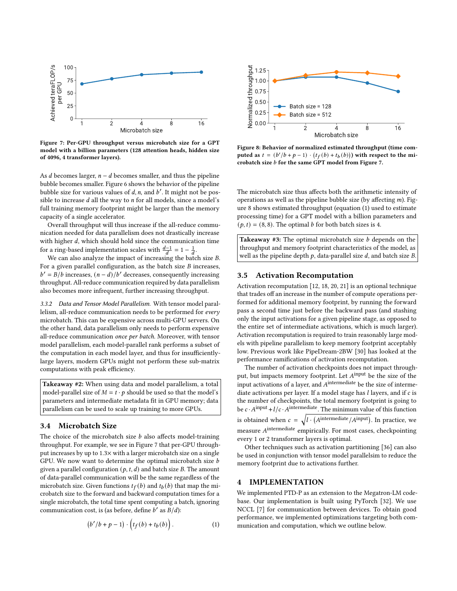<span id="page-5-0"></span>

Figure 7: Per-GPU throughput versus microbatch size for a GPT model with a billion parameters (128 attention heads, hidden size of 4096, 4 transformer layers).

As  $d$  becomes larger,  $n - d$  becomes smaller, and thus the pipeline bubble becomes smaller. Figure [6](#page-4-1) shows the behavior of the pipeline bubble size for various values of  $d$ ,  $n$ , and  $b'$ . It might not be possible to increase  $d$  all the way to  $n$  for all models, since a model's full training memory footprint might be larger than the memory capacity of a single accelerator.

Overall throughput will thus increase if the all-reduce communication needed for data parallelism does not drastically increase with higher  $d$ , which should hold since the communication time for a ring-based implementation scales with  $\frac{d-1}{d} = 1 - \frac{1}{d}$ .

We can also analyze the impact of increasing the batch size  $B$ . For a given parallel configuration, as the batch size  $B$  increases,  $b' = B/b$  increases,  $(n - d)/b'$  decreases, consequently increasing throughput. All-reduce communication required by data parallelism also becomes more infrequent, further increasing throughput.

3.3.2 Data and Tensor Model Parallelism. With tensor model parallelism, all-reduce communication needs to be performed for every microbatch. This can be expensive across multi-GPU servers. On the other hand, data parallelism only needs to perform expensive all-reduce communication once per batch. Moreover, with tensor model parallelism, each model-parallel rank performs a subset of the computation in each model layer, and thus for insufficientlylarge layers, modern GPUs might not perform these sub-matrix computations with peak efficiency.

Takeaway #2: When using data and model parallelism, a total model-parallel size of  $M = t \cdot p$  should be used so that the model's parameters and intermediate metadata fit in GPU memory; data parallelism can be used to scale up training to more GPUs.

# 3.4 Microbatch Size

The choice of the microbatch size  $b$  also affects model-training throughput. For example, we see in Figure [7](#page-5-0) that per-GPU throughput increases by up to 1.3× with a larger microbatch size on a single GPU. We now want to determine the optimal microbatch size  $b$ given a parallel configuration  $(p, t, d)$  and batch size B. The amount of data-parallel communication will be the same regardless of the microbatch size. Given functions  $t_f(b)$  and  $t_b(b)$  that map the microbatch size to the forward and backward computation times for a single microbatch, the total time spent computing a batch, ignoring communication cost, is (as before, define  $\vec{b}$  as  $\vec{B}/d$ ):

<span id="page-5-2"></span>
$$
(b'/b + p - 1) \cdot \left( t_f(b) + t_b(b) \right). \tag{1}
$$

<span id="page-5-1"></span>

Figure 8: Behavior of normalized estimated throughput (time computed as  $t = (b'/b + p - 1) \cdot (t_f(b) + t_b(b))$  with respect to the microbatch size  $b$  for the same GPT model from Figure [7.](#page-5-0)

The microbatch size thus affects both the arithmetic intensity of operations as well as the pipeline bubble size (by affecting  $m$ ). Figure [8](#page-5-1) shows estimated throughput (equation [\(1\)](#page-5-2) used to estimate processing time) for a GPT model with a billion parameters and  $(p, t) = (8, 8)$ . The optimal *b* for both batch sizes is 4.

Takeaway #3: The optimal microbatch size  $b$  depends on the throughput and memory footprint characteristics of the model, as well as the pipeline depth  $p$ , data-parallel size  $d$ , and batch size  $B$ .

# 3.5 Activation Recomputation

Activation recomputation [\[12,](#page-12-25) [18,](#page-12-26) [20,](#page-12-15) [21\]](#page-12-27) is an optional technique that trades off an increase in the number of compute operations performed for additional memory footprint, by running the forward pass a second time just before the backward pass (and stashing only the input activations for a given pipeline stage, as opposed to the entire set of intermediate activations, which is much larger). Activation recomputation is required to train reasonably large models with pipeline parallelism to keep memory footprint acceptably low. Previous work like PipeDream-2BW [\[30\]](#page-12-18) has looked at the performance ramifications of activation recomputation.

The number of activation checkpoints does not impact throughput, but impacts memory footprint. Let  $A^{\text{input}}$  be the size of the input activations of a layer, and  $A^{\text{intermediate}}$  be the size of intermediate activations per layer. If a model stage has  $l$  layers, and if  $c$  is the number of checkpoints, the total memory footprint is going to be  $c \cdot A^{\text{input}} + l/c \cdot A^{\text{intermediate}}$ . The minimum value of this function is obtained when  $c = \sqrt{l \cdot (A^{intermediate}/A^{input})}$ . In practice, we measure  $A^{\rm intermediate}$  empirically. For most cases, checkpointing every 1 or 2 transformer layers is optimal.

Other techniques such as activation partitioning [\[36\]](#page-12-20) can also be used in conjunction with tensor model parallelsim to reduce the memory footprint due to activations further.

## 4 IMPLEMENTATION

We implemented PTD-P as an extension to the Megatron-LM codebase. Our implementation is built using PyTorch [\[32\]](#page-12-28). We use NCCL [\[7\]](#page-12-29) for communication between devices. To obtain good performance, we implemented optimizations targeting both communication and computation, which we outline below.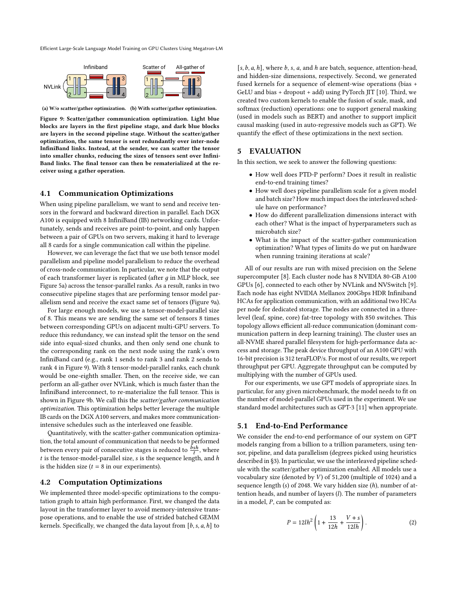<span id="page-6-0"></span>

(a) W/o scatter/gather optimization. (b) With scatter/gather optimization.

Figure 9: Scatter/gather communication optimization. Light blue blocks are layers in the first pipeline stage, and dark blue blocks are layers in the second pipeline stage. Without the scatter/gather optimization, the same tensor is sent redundantly over inter-node InfiniBand links. Instead, at the sender, we can scatter the tensor into smaller chunks, reducing the sizes of tensors sent over Infini-Band links. The final tensor can then be rematerialized at the receiver using a gather operation.

#### 4.1 Communication Optimizations

When using pipeline parallelism, we want to send and receive tensors in the forward and backward direction in parallel. Each DGX A100 is equipped with 8 InfiniBand (IB) networking cards. Unfortunately, sends and receives are point-to-point, and only happen between a pair of GPUs on two servers, making it hard to leverage all 8 cards for a single communication call within the pipeline.

However, we can leverage the fact that we use both tensor model parallelism and pipeline model parallelism to reduce the overhead of cross-node communication. In particular, we note that the output of each transformer layer is replicated (after  $q$  in MLP block, see Figure [5a\)](#page-4-0) across the tensor-parallel ranks. As a result, ranks in two consecutive pipeline stages that are performing tensor model parallelism send and receive the exact same set of tensors (Figure [9a\)](#page-6-0).

For large enough models, we use a tensor-model-parallel size of 8. This means we are sending the same set of tensors 8 times between corresponding GPUs on adjacent multi-GPU servers. To reduce this redundancy, we can instead split the tensor on the send side into equal-sized chunks, and then only send one chunk to the corresponding rank on the next node using the rank's own InfiniBand card (e.g., rank 1 sends to rank 3 and rank 2 sends to rank 4 in Figure [9\)](#page-6-0). With 8 tensor-model-parallel ranks, each chunk would be one-eighth smaller. Then, on the receive side, we can perform an all-gather over NVLink, which is much faster than the InfiniBand interconnect, to re-materialize the full tensor. This is shown in Figure [9b.](#page-6-0) We call this the scatter/gather communication optimization. This optimization helps better leverage the multiple IB cards on the DGX A100 servers, and makes more communicationintensive schedules such as the interleaved one feasible.

Quantitatively, with the scatter-gather communication optimization, the total amount of communication that needs to be performed between every pair of consecutive stages is reduced to  $\frac{\hat{b}sh}{t}$  , where  $t$  is the tensor-model-parallel size,  $s$  is the sequence length, and  $h$ is the hidden size  $(t = 8$  in our experiments).

#### <span id="page-6-2"></span>4.2 Computation Optimizations

We implemented three model-specific optimizations to the computation graph to attain high performance. First, we changed the data layout in the transformer layer to avoid memory-intensive transpose operations, and to enable the use of strided batched GEMM kernels. Specifically, we changed the data layout from  $[b, s, a, h]$  to

 $[s, b, a, h]$ , where  $b$ ,  $s$ ,  $a$ , and  $h$  are batch, sequence, attention-head, and hidden-size dimensions, respectively. Second, we generated fused kernels for a sequence of element-wise operations (bias + GeLU and bias + dropout + add) using PyTorch JIT [\[10\]](#page-12-30). Third, we created two custom kernels to enable the fusion of scale, mask, and softmax (reduction) operations: one to support general masking (used in models such as BERT) and another to support implicit causal masking (used in auto-regressive models such as GPT). We quantify the effect of these optimizations in the next section.

## 5 EVALUATION

In this section, we seek to answer the following questions:

- How well does PTD-P perform? Does it result in realistic end-to-end training times?
- How well does pipeline parallelism scale for a given model and batch size? How much impact does the interleaved schedule have on performance?
- How do different parallelization dimensions interact with each other? What is the impact of hyperparameters such as microbatch size?
- What is the impact of the scatter-gather communication optimization? What types of limits do we put on hardware when running training iterations at scale?

All of our results are run with mixed precision on the Selene supercomputer [\[8\]](#page-12-31). Each cluster node has 8 NVIDIA 80-GB A100 GPUs [\[6\]](#page-12-32), connected to each other by NVLink and NVSwitch [\[9\]](#page-12-13). Each node has eight NVIDIA Mellanox 200Gbps HDR Infiniband HCAs for application communication, with an additional two HCAs per node for dedicated storage. The nodes are connected in a threelevel (leaf, spine, core) fat-tree topology with 850 switches. This topology allows efficient all-reduce communication (dominant communication pattern in deep learning training). The cluster uses an all-NVME shared parallel filesystem for high-performance data access and storage. The peak device throughput of an A100 GPU with 16-bit precision is 312 teraFLOP/s. For most of our results, we report throughput per GPU. Aggregate throughput can be computed by multiplying with the number of GPUs used.

For our experiments, we use GPT models of appropriate sizes. In particular, for any given microbenchmark, the model needs to fit on the number of model-parallel GPUs used in the experiment. We use standard model architectures such as GPT-3 [\[11\]](#page-12-6) when appropriate.

#### 5.1 End-to-End Performance

We consider the end-to-end performance of our system on GPT models ranging from a billion to a trillion parameters, using tensor, pipeline, and data parallelism (degrees picked using heuristics described in [§3\)](#page-3-0). In particular, we use the interleaved pipeline schedule with the scatter/gather optimization enabled. All models use a vocabulary size (denoted by  $V$ ) of 51,200 (multiple of 1024) and a sequence length (s) of 2048. We vary hidden size  $(h)$ , number of attention heads, and number of layers  $(l)$ . The number of parameters in a model,  $P$ , can be computed as:

<span id="page-6-1"></span>
$$
P = 12lh^2 \left( 1 + \frac{13}{12h} + \frac{V+s}{12lh} \right).
$$
 (2)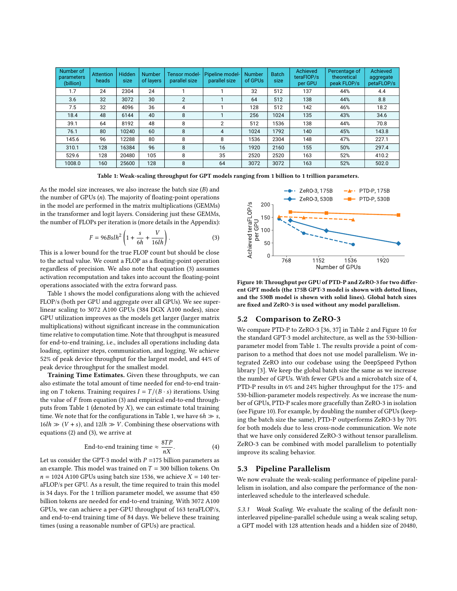<span id="page-7-1"></span>

| Number of<br><b>parameters</b><br>(billion) | <b>Attention</b><br>heads | Hidden<br>size | <b>Number</b><br>of layers | Tensor model-<br>parallel size | Pipeline model-<br>parallel size | <b>Number</b><br>of GPUs | <b>Batch</b><br>size | Achieved<br>teraFIOP/s<br>per GPU | Percentage of<br>theoretical<br>peak FLOP/s | Achieved<br>aggregate<br>petaFLOP/s |
|---------------------------------------------|---------------------------|----------------|----------------------------|--------------------------------|----------------------------------|--------------------------|----------------------|-----------------------------------|---------------------------------------------|-------------------------------------|
| 1.7                                         | 24                        | 2304           | 24                         |                                |                                  | 32                       | 512                  | 137                               | 44%                                         | 4.4                                 |
| 3.6                                         | 32                        | 3072           | 30                         | $\overline{2}$                 |                                  | 64                       | 512                  | 138                               | 44%                                         | 8.8                                 |
| 7.5                                         | 32                        | 4096           | 36                         | 4                              |                                  | 128                      | 512                  | 142                               | 46%                                         | 18.2                                |
| 18.4                                        | 48                        | 6144           | 40                         | 8                              |                                  | 256                      | 1024                 | 135                               | 43%                                         | 34.6                                |
| 39.1                                        | 64                        | 8192           | 48                         | 8                              | 2                                | 512                      | 1536                 | 138                               | 44%                                         | 70.8                                |
| 76.1                                        | 80                        | 10240          | 60                         | 8                              | 4                                | 1024                     | 1792                 | 140                               | 45%                                         | 143.8                               |
| 145.6                                       | 96                        | 2288           | 80                         | 8                              | 8                                | 1536                     | 2304                 | 148                               | 47%                                         | 227.1                               |
| 310.1                                       | 128                       | 16384          | 96                         | 8                              | 16                               | 1920                     | 2160                 | 155                               | 50%                                         | 297.4                               |
| 529.6                                       | 128                       | 20480          | 105                        | 8                              | 35                               | 2520                     | 2520                 | 163                               | 52%                                         | 410.2                               |
| 1008.0                                      | 160                       | 25600          | 128                        | 8                              | 64                               | 3072                     | 3072                 | 163                               | 52%                                         | 502.0                               |

Table 1: Weak-scaling throughput for GPT models ranging from 1 billion to 1 trillion parameters.

As the model size increases, we also increase the batch size  $(B)$  and the number of GPUs  $(n)$ . The majority of floating-point operations in the model are performed in the matrix multiplications (GEMMs) in the transformer and logit layers. Considering just these GEMMs, the number of FLOPs per iteration is (more details in the Appendix):

<span id="page-7-0"></span>
$$
F = 96Bslh^2 \left( 1 + \frac{s}{6h} + \frac{V}{16lh} \right). \tag{3}
$$

This is a lower bound for the true FLOP count but should be close to the actual value. We count a FLOP as a floating-point operation regardless of precision. We also note that equation [\(3\)](#page-7-0) assumes activation recomputation and takes into account the floating-point operations associated with the extra forward pass.

Table [1](#page-7-1) shows the model configurations along with the achieved FLOP/s (both per GPU and aggregate over all GPUs). We see superlinear scaling to 3072 A100 GPUs (384 DGX A100 nodes), since GPU utilization improves as the models get larger (larger matrix multiplications) without significant increase in the communication time relative to computation time. Note that throughput is measured for end-to-end training, i.e., includes all operations including data loading, optimizer steps, communication, and logging. We achieve 52% of peak device throughput for the largest model, and 44% of peak device throughput for the smallest model.

Training Time Estimates. Given these throughputs, we can also estimate the total amount of time needed for end-to-end training on T tokens. Training requires  $I = T/(B \cdot s)$  iterations. Using the value of  $F$  from equation [\(3\)](#page-7-0) and empirical end-to-end through-puts from Table [1](#page-7-1) (denoted by  $X$ ), we can estimate total training time. We note that for the configurations in Table [1,](#page-7-1) we have  $6h \gg s$ ,  $16lh \gg (V + s)$ , and  $12lh \gg V$ . Combining these observations with equations [\(2\)](#page-6-1) and [\(3\)](#page-7-0), we arrive at

End-to-end training time 
$$
\approx \frac{8TP}{nX}
$$
. (4)

Let us consider the GPT-3 model with  $P = 175$  billion parameters as an example. This model was trained on  $T = 300$  billion tokens. On  $n = 1024$  A100 GPUs using batch size 1536, we achieve  $X = 140$  teraFLOP/s per GPU. As a result, the time required to train this model is 34 days. For the 1 trillion parameter model, we assume that 450 billion tokens are needed for end-to-end training. With 3072 A100 GPUs, we can achieve a per-GPU throughput of 163 teraFLOP/s, and end-to-end training time of 84 days. We believe these training times (using a reasonable number of GPUs) are practical.

<span id="page-7-2"></span>

Figure 10: Throughput per GPU of PTD-P and ZeRO-3 for two different GPT models (the 175B GPT-3 model is shown with dotted lines, and the 530B model is shown with solid lines). Global batch sizes are fixed and ZeRO-3 is used without any model parallelism.

# 5.2 Comparison to ZeRO-3

We compare PTD-P to ZeRO-3 [\[36,](#page-12-20) [37\]](#page-12-33) in Table [2](#page-8-1) and Figure [10](#page-7-2) for the standard GPT-3 model architecture, as well as the 530-billionparameter model from Table [1.](#page-7-1) The results provide a point of comparison to a method that does not use model parallelism. We integrated ZeRO into our codebase using the DeepSpeed Python library [\[3\]](#page-12-34). We keep the global batch size the same as we increase the number of GPUs. With fewer GPUs and a microbatch size of 4, PTD-P results in 6% and 24% higher throughput for the 175- and 530-billion-parameter models respectively. As we increase the number of GPUs, PTD-P scales more gracefully than ZeRO-3 in isolation (see Figure [10\)](#page-7-2). For example, by doubling the number of GPUs (keeping the batch size the same), PTD-P outperforms ZeRO-3 by 70% for both models due to less cross-node communication. We note that we have only considered ZeRO-3 without tensor parallelism. ZeRO-3 can be combined with model parallelism to potentially improve its scaling behavior.

# 5.3 Pipeline Parallelism

We now evaluate the weak-scaling performance of pipeline parallelism in isolation, and also compare the performance of the noninterleaved schedule to the interleaved schedule.

5.3.1 Weak Scaling. We evaluate the scaling of the default noninterleaved pipeline-parallel schedule using a weak scaling setup, a GPT model with 128 attention heads and a hidden size of 20480,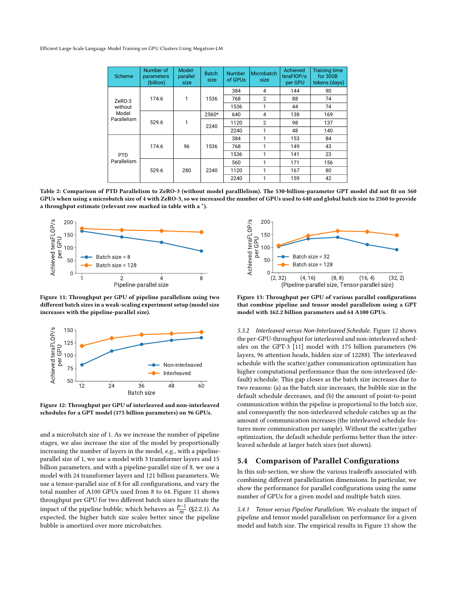<span id="page-8-1"></span>

| Scheme                                    | Number of<br>parameters<br>(billion) | Model-<br>parallel<br>size | <b>Batch</b><br>size | <b>Number</b><br>of GPUs | Microbatch<br>size | Achieved<br>teraFIOP/s<br>per GPU | <b>Training time</b><br>for 300B<br>tokens (days) |
|-------------------------------------------|--------------------------------------|----------------------------|----------------------|--------------------------|--------------------|-----------------------------------|---------------------------------------------------|
| ZeRO-3<br>without<br>Model<br>Parallelism |                                      | 1                          | 1536                 | 384                      | 4                  | 144                               | 90                                                |
|                                           | 174.6                                |                            |                      | 768                      | 2                  | 88                                | 74                                                |
|                                           |                                      |                            |                      | 1536                     | 1                  | 44                                | 74                                                |
|                                           |                                      | 1                          | 2560*                | 640                      | 4                  | 138                               | 169                                               |
|                                           | 529.6                                |                            | 2240                 | 1120                     | $\overline{2}$     | 98                                | 137                                               |
|                                           |                                      |                            |                      | 2240                     | 1                  | 48                                | 140                                               |
| <b>PTD</b><br>Parallelism                 |                                      | 96                         | 1536                 | 384                      | 1                  | 153                               | 84                                                |
|                                           | 174.6                                |                            |                      | 768                      | 1                  | 149                               | 43                                                |
|                                           |                                      |                            |                      | 1536                     | 1                  | 141                               | 23                                                |
|                                           |                                      | 280                        | 2240                 | 560                      | 1                  | 171                               | 156                                               |
|                                           | 529.6                                |                            |                      | 1120                     | 1                  | 167                               | 80                                                |
|                                           |                                      |                            |                      | 2240                     | 1                  | 159                               | 42                                                |

Table 2: Comparison of PTD Parallelism to ZeRO-3 (without model paralllelism). The 530-billion-parameter GPT model did not fit on 560 GPUs when using a microbatch size of 4 with ZeRO-3, so we increased the number of GPUs used to 640 and global batch size to 2560 to provide a throughput estimate (relevant row marked in table with a \*).

<span id="page-8-2"></span>

Figure 11: Throughput per GPU of pipeline parallelism using two different batch sizes in a weak-scaling experiment setup (model size increases with the pipeline-parallel size).

<span id="page-8-3"></span>

Figure 12: Throughput per GPU of interleaved and non-interleaved schedules for a GPT model (175 billion parameters) on 96 GPUs.

and a microbatch size of 1. As we increase the number of pipeline stages, we also increase the size of the model by proportionally increasing the number of layers in the model, e.g., with a pipelineparallel size of 1, we use a model with 3 transformer layers and 15 billion parameters, and with a pipeline-parallel size of 8, we use a model with 24 transformer layers and 121 billion parameters. We use a tensor-parallel size of 8 for all configurations, and vary the total number of A100 GPUs used from 8 to 64. Figure [11](#page-8-2) shows throughput per GPU for two different batch sizes to illustrate the impact of the pipeline bubble, which behaves as  $\frac{p-1}{m}$  ([§2.2.1\)](#page-2-3). As expected, the higher batch size scales better since the pipeline bubble is amortized over more microbatches.

<span id="page-8-4"></span>

Figure 13: Throughput per GPU of various parallel configurations that combine pipeline and tensor model parallelism using a GPT model with 162.2 billion parameters and 64 A100 GPUs.

5.3.2 Interleaved versus Non-Interleaved Schedule. Figure [12](#page-8-3) shows the per-GPU-throughput for interleaved and non-interleaved schedules on the GPT-3 [\[11\]](#page-12-6) model with 175 billion parameters (96 layers, 96 attention heads, hidden size of 12288). The interleaved schedule with the scatter/gather communication optimization has higher computational performance than the non-interleaved (default) schedule. This gap closes as the batch size increases due to two reasons: (a) as the batch size increases, the bubble size in the default schedule decreases, and (b) the amount of point-to-point communication within the pipeline is proportional to the batch size, and consequently the non-interleaved schedule catches up as the amount of communication increases (the interleaved schedule features more communication per sample). Without the scatter/gather optimization, the default schedule performs better than the interleaved schedule at larger batch sizes (not shown).

# <span id="page-8-0"></span>5.4 Comparison of Parallel Configurations

In this sub-section, we show the various tradeoffs associated with combining different parallelization dimensions. In particular, we show the performance for parallel configurations using the same number of GPUs for a given model and multiple batch sizes.

5.4.1 Tensor versus Pipeline Parallelism. We evaluate the impact of pipeline and tensor model parallelism on performance for a given model and batch size. The empirical results in Figure [13](#page-8-4) show the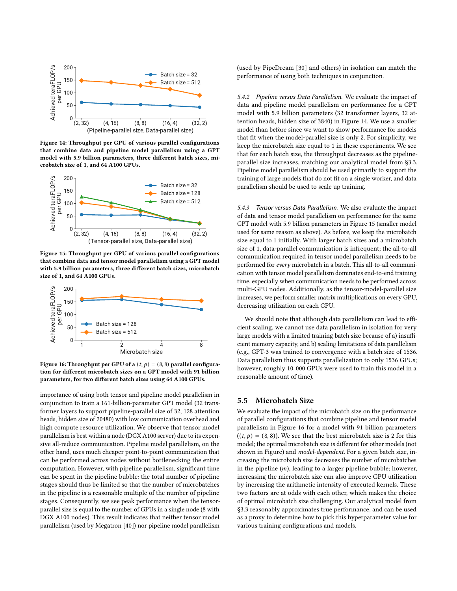<span id="page-9-0"></span>

Figure 14: Throughput per GPU of various parallel configurations that combine data and pipeline model parallelism using a GPT model with 5.9 billion parameters, three different batch sizes, microbatch size of 1, and 64 A100 GPUs.

<span id="page-9-1"></span>

Figure 15: Throughput per GPU of various parallel configurations that combine data and tensor model parallelism using a GPT model with 5.9 billion parameters, three different batch sizes, microbatch size of 1, and 64 A100 GPUs.

<span id="page-9-2"></span>

Figure 16: Throughput per GPU of a  $(t, p) = (8, 8)$  parallel configuration for different microbatch sizes on a GPT model with 91 billion parameters, for two different batch sizes using 64 A100 GPUs.

importance of using both tensor and pipeline model parallelism in conjunction to train a 161-billion-parameter GPT model (32 transformer layers to support pipeline-parallel size of 32, 128 attention heads, hidden size of 20480) with low communication overhead and high compute resource utilization. We observe that tensor model parallelism is best within a node (DGX A100 server) due to its expensive all-reduce communication. Pipeline model parallelism, on the other hand, uses much cheaper point-to-point communication that can be performed across nodes without bottlenecking the entire computation. However, with pipeline parallelism, significant time can be spent in the pipeline bubble: the total number of pipeline stages should thus be limited so that the number of microbatches in the pipeline is a reasonable multiple of the number of pipeline stages. Consequently, we see peak performance when the tensorparallel size is equal to the number of GPUs in a single node (8 with DGX A100 nodes). This result indicates that neither tensor model parallelism (used by Megatron [\[40\]](#page-12-7)) nor pipeline model parallelism

(used by PipeDream [\[30\]](#page-12-18) and others) in isolation can match the performance of using both techniques in conjunction.

5.4.2 Pipeline versus Data Parallelism. We evaluate the impact of data and pipeline model parallelism on performance for a GPT model with 5.9 billion parameters (32 transformer layers, 32 attention heads, hidden size of 3840) in Figure [14.](#page-9-0) We use a smaller model than before since we want to show performance for models that fit when the model-parallel size is only 2. For simplicity, we keep the microbatch size equal to 1 in these experiments. We see that for each batch size, the throughput decreases as the pipelineparallel size increases, matching our analytical model from [§3.3.](#page-4-2) Pipeline model parallelism should be used primarily to support the training of large models that do not fit on a single worker, and data parallelism should be used to scale up training.

5.4.3 Tensor versus Data Parallelism. We also evaluate the impact of data and tensor model parallelism on performance for the same GPT model with 5.9 billion parameters in Figure [15](#page-9-1) (smaller model used for same reason as above). As before, we keep the microbatch size equal to 1 initially. With larger batch sizes and a microbatch size of 1, data-parallel communication is infrequent; the all-to-all communication required in tensor model parallelism needs to be performed for every microbatch in a batch. This all-to-all communication with tensor model parallelism dominates end-to-end training time, especially when communication needs to be performed across multi-GPU nodes. Additionally, as the tensor-model-parallel size increases, we perform smaller matrix multiplications on every GPU, decreasing utilization on each GPU.

We should note that although data parallelism can lead to efficient scaling, we cannot use data parallelism in isolation for very large models with a limited training batch size because of a) insufficient memory capacity, and b) scaling limitations of data parallelism (e.g., GPT-3 was trained to convergence with a batch size of 1536. Data parallelism thus supports parallelization to only 1536 GPUs; however, roughly 10, 000 GPUs were used to train this model in a reasonable amount of time).

# 5.5 Microbatch Size

We evaluate the impact of the microbatch size on the performance of parallel configurations that combine pipeline and tensor model parallelism in Figure [16](#page-9-2) for a model with 91 billion parameters  $((t, p) = (8, 8))$ . We see that the best microbatch size is 2 for this model; the optimal microbatch size is different for other models (not shown in Figure) and model-dependent. For a given batch size, increasing the microbatch size decreases the number of microbatches in the pipeline  $(m)$ , leading to a larger pipeline bubble; however, increasing the microbatch size can also improve GPU utilization by increasing the arithmetic intensity of executed kernels. These two factors are at odds with each other, which makes the choice of optimal microbatch size challenging. Our analytical model from [§3.3](#page-4-2) reasonably approximates true performance, and can be used as a proxy to determine how to pick this hyperparameter value for various training configurations and models.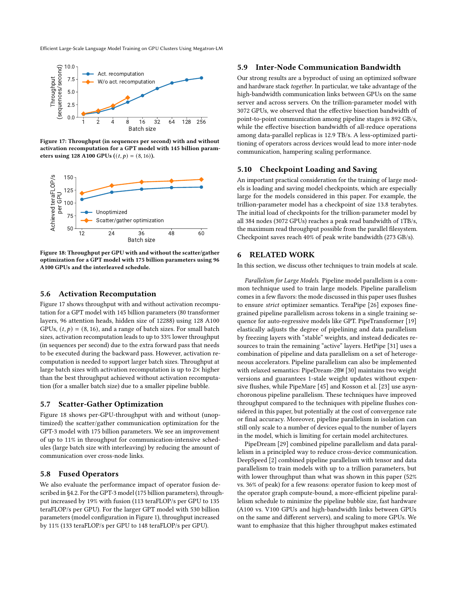<span id="page-10-0"></span>

Figure 17: Throughput (in sequences per second) with and without activation recomputation for a GPT model with 145 billion parameters using 128 A100 GPUs  $((t, p) = (8, 16))$ .

<span id="page-10-1"></span>

Figure 18: Throughput per GPU with and without the scatter/gather optimization for a GPT model with 175 billion parameters using 96 A100 GPUs and the interleaved schedule.

## 5.6 Activation Recomputation

Figure [17](#page-10-0) shows throughput with and without activation recomputation for a GPT model with 145 billion parameters (80 transformer layers, 96 attention heads, hidden size of 12288) using 128 A100 GPUs,  $(t, p) = (8, 16)$ , and a range of batch sizes. For small batch sizes, activation recomputation leads to up to 33% lower throughput (in sequences per second) due to the extra forward pass that needs to be executed during the backward pass. However, activation recomputation is needed to support larger batch sizes. Throughput at large batch sizes with activation recomputation is up to  $2\times$  higher than the best throughput achieved without activation recomputation (for a smaller batch size) due to a smaller pipeline bubble.

# 5.7 Scatter-Gather Optimization

Figure [18](#page-10-1) shows per-GPU-throughput with and without (unoptimized) the scatter/gather communication optimization for the GPT-3 model with 175 billion parameters. We see an improvement of up to 11% in throughput for communication-intensive schedules (large batch size with interleaving) by reducing the amount of communication over cross-node links.

#### 5.8 Fused Operators

We also evaluate the performance impact of operator fusion described in [§4.2.](#page-6-2) For the GPT-3 model (175 billion parameters), throughput increased by 19% with fusion (113 teraFLOP/s per GPU to 135 teraFLOP/s per GPU). For the larger GPT model with 530 billion parameters (model configuration in Figure [1\)](#page-7-1), throughput increased by 11% (133 teraFLOP/s per GPU to 148 teraFLOP/s per GPU).

#### 5.9 Inter-Node Communication Bandwidth

Our strong results are a byproduct of using an optimized software and hardware stack together. In particular, we take advantage of the high-bandwidth communication links between GPUs on the same server and across servers. On the trillion-parameter model with 3072 GPUs, we observed that the effective bisection bandwidth of point-to-point communication among pipeline stages is 892 GB/s, while the effective bisection bandwidth of all-reduce operations among data-parallel replicas is 12.9 TB/s. A less-optimized partitioning of operators across devices would lead to more inter-node communication, hampering scaling performance.

#### 5.10 Checkpoint Loading and Saving

An important practical consideration for the training of large models is loading and saving model checkpoints, which are especially large for the models considered in this paper. For example, the trillion-parameter model has a checkpoint of size 13.8 terabytes. The initial load of checkpoints for the trillion-parameter model by all 384 nodes (3072 GPUs) reaches a peak read bandwidth of 1TB/s, the maximum read throughput possible from the parallel filesystem. Checkpoint saves reach 40% of peak write bandwidth (273 GB/s).

# 6 RELATED WORK

In this section, we discuss other techniques to train models at scale.

Parallelism for Large Models. Pipeline model parallelism is a common technique used to train large models. Pipeline parallelism comes in a few flavors: the mode discussed in this paper uses flushes to ensure strict optimizer semantics. TeraPipe [\[26\]](#page-12-35) exposes finegrained pipeline parallelism across tokens in a single training sequence for auto-regressive models like GPT. PipeTransformer [\[19\]](#page-12-36) elastically adjusts the degree of pipelining and data parallelism by freezing layers with "stable" weights, and instead dedicates resources to train the remaining "active" layers. HetPipe [\[31\]](#page-12-37) uses a combination of pipeline and data parallelism on a set of heterogeneous accelerators. Pipeline parallelism can also be implemented with relaxed semantics: PipeDream-2BW [\[30\]](#page-12-18) maintains two weight versions and guarantees 1-stale weight updates without expensive flushes, while PipeMare [\[45\]](#page-12-19) and Kosson et al. [\[23\]](#page-12-16) use asynchoronous pipeline parallelism. These techniques have improved throughput compared to the techniques with pipeline flushes considered in this paper, but potentially at the cost of convergence rate or final accuracy. Moreover, pipeline parallelism in isolation can still only scale to a number of devices equal to the number of layers in the model, which is limiting for certain model architectures.

PipeDream [\[29\]](#page-12-17) combined pipeline parallelism and data parallelism in a principled way to reduce cross-device communication. DeepSpeed [\[2\]](#page-12-38) combined pipeline parallelism with tensor and data parallelism to train models with up to a trillion parameters, but with lower throughput than what was shown in this paper (52% vs. 36% of peak) for a few reasons: operator fusion to keep most of the operator graph compute-bound, a more-efficient pipeline parallelism schedule to minimize the pipeline bubble size, fast hardware (A100 vs. V100 GPUs and high-bandwidth links between GPUs on the same and different servers), and scaling to more GPUs. We want to emphasize that this higher throughput makes estimated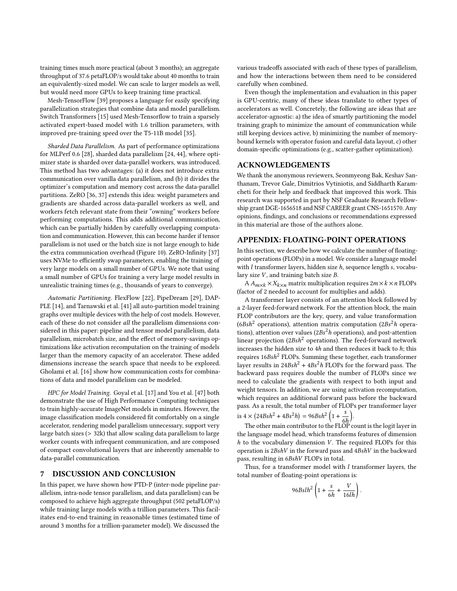training times much more practical (about 3 months); an aggregate throughput of 37.6 petaFLOP/s would take about 40 months to train an equivalently-sized model. We can scale to larger models as well, but would need more GPUs to keep training time practical.

Mesh-TensorFlow [\[39\]](#page-12-12) proposes a language for easily specifying parallelization strategies that combine data and model parallelism. Switch Transformers [\[15\]](#page-12-39) used Mesh-Tensorflow to train a sparsely activated expert-based model with 1.6 trillion parameters, with improved pre-training speed over the T5-11B model [\[35\]](#page-12-3).

Sharded Data Parallelism. As part of performance optimizations for MLPerf 0.6 [\[28\]](#page-12-40), sharded data parallelism [\[24,](#page-12-41) [44\]](#page-12-42), where optimizer state is sharded over data-parallel workers, was introduced. This method has two advantages: (a) it does not introduce extra communication over vanilla data parallelism, and (b) it divides the optimizer's computation and memory cost across the data-parallel partitions. ZeRO [\[36,](#page-12-20) [37\]](#page-12-33) extends this idea: weight parameters and gradients are sharded across data-parallel workers as well, and workers fetch relevant state from their "owning" workers before performing computations. This adds additional communication, which can be partially hidden by carefully overlapping computation and communication. However, this can become harder if tensor parallelism is not used or the batch size is not large enough to hide the extra communication overhead (Figure [10\)](#page-7-2). ZeRO-Infinity [\[37\]](#page-12-33) uses NVMe to efficiently swap parameters, enabling the training of very large models on a small number of GPUs. We note that using a small number of GPUs for training a very large model results in unrealistic training times (e.g., thousands of years to converge).

Automatic Partitioning. FlexFlow [\[22\]](#page-12-21), PipeDream [\[29\]](#page-12-17), DAP-PLE [\[14\]](#page-12-14), and Tarnawski et al. [\[41\]](#page-12-22) all auto-partition model training graphs over multiple devices with the help of cost models. However, each of these do not consider all the parallelism dimensions considered in this paper: pipeline and tensor model parallelism, data parallelism, microbatch size, and the effect of memory-savings optimizations like activation recomputation on the training of models larger than the memory capacity of an accelerator. These added dimensions increase the search space that needs to be explored. Gholami et al. [\[16\]](#page-12-43) show how communication costs for combinations of data and model parallelism can be modeled.

HPC for Model Training. Goyal et al. [\[17\]](#page-12-44) and You et al. [\[47\]](#page-12-45) both demonstrate the use of High Performance Computing techniques to train highly-accurate ImageNet models in minutes. However, the image classification models considered fit comfortably on a single accelerator, rendering model parallelism unnecessary, support very large batch sizes (> 32k) that allow scaling data parallelism to large worker counts with infrequent communication, and are composed of compact convolutional layers that are inherently amenable to data-parallel communication.

## 7 DISCUSSION AND CONCLUSION

In this paper, we have shown how PTD-P (inter-node pipeline parallelism, intra-node tensor parallelism, and data parallelism) can be composed to achieve high aggregate throughput (502 petaFLOP/s) while training large models with a trillion parameters. This facilitates end-to-end training in reasonable times (estimated time of around 3 months for a trillion-parameter model). We discussed the

various tradeoffs associated with each of these types of parallelism, and how the interactions between them need to be considered carefully when combined.

Even though the implementation and evaluation in this paper is GPU-centric, many of these ideas translate to other types of accelerators as well. Concretely, the following are ideas that are accelerator-agnostic: a) the idea of smartly partitioning the model training graph to minimize the amount of communication while still keeping devices active, b) minimizing the number of memorybound kernels with operator fusion and careful data layout, c) other domain-specific optimizations (e.g., scatter-gather optimization).

# ACKNOWLEDGEMENTS

We thank the anonymous reviewers, Seonmyeong Bak, Keshav Santhanam, Trevor Gale, Dimitrios Vytiniotis, and Siddharth Karamcheti for their help and feedback that improved this work. This research was supported in part by NSF Graduate Research Fellowship grant DGE-1656518 and NSF CAREER grant CNS-1651570. Any opinions, findings, and conclusions or recommendations expressed in this material are those of the authors alone.

## APPENDIX: FLOATING-POINT OPERATIONS

In this section, we describe how we calculate the number of floatingpoint operations (FLOPs) in a model. We consider a language model with  $l$  transformer layers, hidden size  $h$ , sequence length  $s$ , vocabulary size  $V$ , and training batch size  $B$ .

A  $A_{m \times k} \times X_{k \times n}$  matrix multiplication requires  $2m \times k \times n$  FLOPs (factor of 2 needed to account for multiplies and adds).

A transformer layer consists of an attention block followed by a 2-layer feed-forward network. For the attention block, the main FLOP contributors are the key, query, and value transformation ( $6Bsh^2$  operations), attention matrix computation ( $2Bs^2h$  operations), attention over values ( $2Bs^2h$  operations), and post-attention linear projection ( $2Bsh^2$  operations). The feed-forward network increases the hidden size to  $4h$  and then reduces it back to  $h$ ; this requires  $16Bsh^2$  FLOPs. Summing these together, each transformer layer results in  $24Bsh^2 + 4Bs^2h$  FLOPs for the forward pass. The backward pass requires double the number of FLOPs since we need to calculate the gradients with respect to both input and weight tensors. In addition, we are using activation recomputation, which requires an additional forward pass before the backward pass. As a result, the total number of FLOPs per transformer layer is  $4 \times (24Bsh^2 + 4Bs^2h) = 96Bsh^2\left(1 + \frac{s}{s}\right)$  $\overline{6h}$ Ι .

The other main contributor to the FLOP count is the logit layer in the language model head, which transforms features of dimension  $h$  to the vocabulary dimension  $V$ . The required FLOPs for this operation is  $2BshV$  in the forward pass and  $4BshV$  in the backward pass, resulting in 6BshV FLOPs in total.

Thus, for a transformer model with  $l$  transformer layers, the total number of floating-point operations is:

$$
96Bslh^2 \left( 1 + \frac{s}{6h} + \frac{V}{16lh} \right)
$$

.